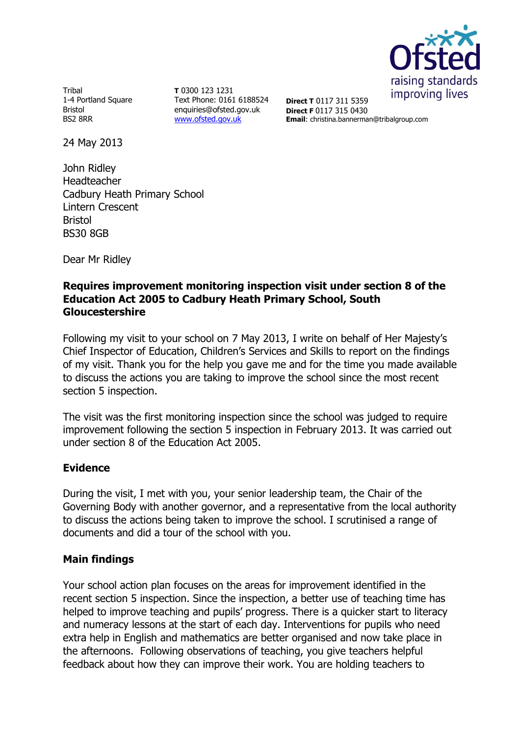

Tribal 1-4 Portland Square Bristol BS2 8RR

**T** 0300 123 1231 Text Phone: 0161 6188524 enquiries@ofsted.gov.uk [www.ofsted.gov.uk](http://www.ofsted.gov.uk/)

**Direct T** 0117 311 5359 **Direct F** 0117 315 0430 **Email**: christina.bannerman@tribalgroup.com

24 May 2013

John Ridley Headteacher Cadbury Heath Primary School Lintern Crescent Bristol BS30 8GB

Dear Mr Ridley

## **Requires improvement monitoring inspection visit under section 8 of the Education Act 2005 to Cadbury Heath Primary School, South Gloucestershire**

Following my visit to your school on 7 May 2013, I write on behalf of Her Majesty's Chief Inspector of Education, Children's Services and Skills to report on the findings of my visit. Thank you for the help you gave me and for the time you made available to discuss the actions you are taking to improve the school since the most recent section 5 inspection.

The visit was the first monitoring inspection since the school was judged to require improvement following the section 5 inspection in February 2013. It was carried out under section 8 of the Education Act 2005.

## **Evidence**

During the visit, I met with you, your senior leadership team, the Chair of the Governing Body with another governor, and a representative from the local authority to discuss the actions being taken to improve the school. I scrutinised a range of documents and did a tour of the school with you.

## **Main findings**

Your school action plan focuses on the areas for improvement identified in the recent section 5 inspection. Since the inspection, a better use of teaching time has helped to improve teaching and pupils' progress. There is a quicker start to literacy and numeracy lessons at the start of each day. Interventions for pupils who need extra help in English and mathematics are better organised and now take place in the afternoons. Following observations of teaching, you give teachers helpful feedback about how they can improve their work. You are holding teachers to